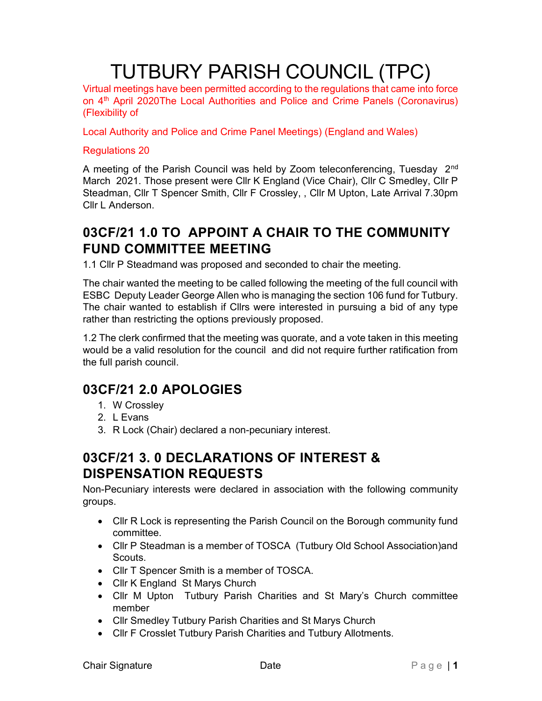# TUTBURY PARISH COUNCIL (TPC)

Virtual meetings have been permitted according to the regulations that came into force on 4th April 2020The Local Authorities and Police and Crime Panels (Coronavirus) (Flexibility of

Local Authority and Police and Crime Panel Meetings) (England and Wales)

#### Regulations 20

A meeting of the Parish Council was held by Zoom teleconferencing, Tuesday 2<sup>nd</sup> March 2021. Those present were Cllr K England (Vice Chair), Cllr C Smedley, Cllr P Steadman, Cllr T Spencer Smith, Cllr F Crossley, , Cllr M Upton, Late Arrival 7.30pm Cllr L Anderson.

# 03CF/21 1.0 TO APPOINT A CHAIR TO THE COMMUNITY FUND COMMITTEE MEETING

1.1 Cllr P Steadmand was proposed and seconded to chair the meeting.

The chair wanted the meeting to be called following the meeting of the full council with ESBC Deputy Leader George Allen who is managing the section 106 fund for Tutbury. The chair wanted to establish if Cllrs were interested in pursuing a bid of any type rather than restricting the options previously proposed.

1.2 The clerk confirmed that the meeting was quorate, and a vote taken in this meeting would be a valid resolution for the council and did not require further ratification from the full parish council.

## 03CF/21 2.0 APOLOGIES

- 1. W Crossley
- 2. L Evans
- 3. R Lock (Chair) declared a non-pecuniary interest.

## 03CF/21 3. 0 DECLARATIONS OF INTEREST & DISPENSATION REQUESTS

Non-Pecuniary interests were declared in association with the following community groups.

- Cllr R Lock is representing the Parish Council on the Borough community fund committee.
- Cllr P Steadman is a member of TOSCA (Tutbury Old School Association)and **Scouts**
- Cllr T Spencer Smith is a member of TOSCA.
- Cllr K England St Marys Church
- Cllr M Upton Tutbury Parish Charities and St Mary's Church committee member
- Cllr Smedley Tutbury Parish Charities and St Marys Church
- Cllr F Crosslet Tutbury Parish Charities and Tutbury Allotments.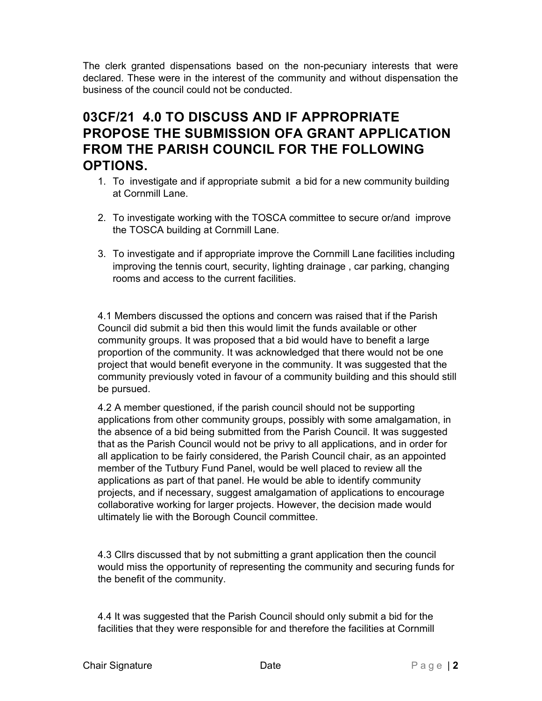The clerk granted dispensations based on the non-pecuniary interests that were declared. These were in the interest of the community and without dispensation the business of the council could not be conducted.

# 03CF/21 4.0 TO DISCUSS AND IF APPROPRIATE PROPOSE THE SUBMISSION OFA GRANT APPLICATION FROM THE PARISH COUNCIL FOR THE FOLLOWING OPTIONS.

- 1. To investigate and if appropriate submit a bid for a new community building at Cornmill Lane.
- 2. To investigate working with the TOSCA committee to secure or/and improve the TOSCA building at Cornmill Lane.
- 3. To investigate and if appropriate improve the Cornmill Lane facilities including improving the tennis court, security, lighting drainage , car parking, changing rooms and access to the current facilities.

4.1 Members discussed the options and concern was raised that if the Parish Council did submit a bid then this would limit the funds available or other community groups. It was proposed that a bid would have to benefit a large proportion of the community. It was acknowledged that there would not be one project that would benefit everyone in the community. It was suggested that the community previously voted in favour of a community building and this should still be pursued.

4.2 A member questioned, if the parish council should not be supporting applications from other community groups, possibly with some amalgamation, in the absence of a bid being submitted from the Parish Council. It was suggested that as the Parish Council would not be privy to all applications, and in order for all application to be fairly considered, the Parish Council chair, as an appointed member of the Tutbury Fund Panel, would be well placed to review all the applications as part of that panel. He would be able to identify community projects, and if necessary, suggest amalgamation of applications to encourage collaborative working for larger projects. However, the decision made would ultimately lie with the Borough Council committee.

4.3 Cllrs discussed that by not submitting a grant application then the council would miss the opportunity of representing the community and securing funds for the benefit of the community.

4.4 It was suggested that the Parish Council should only submit a bid for the facilities that they were responsible for and therefore the facilities at Cornmill